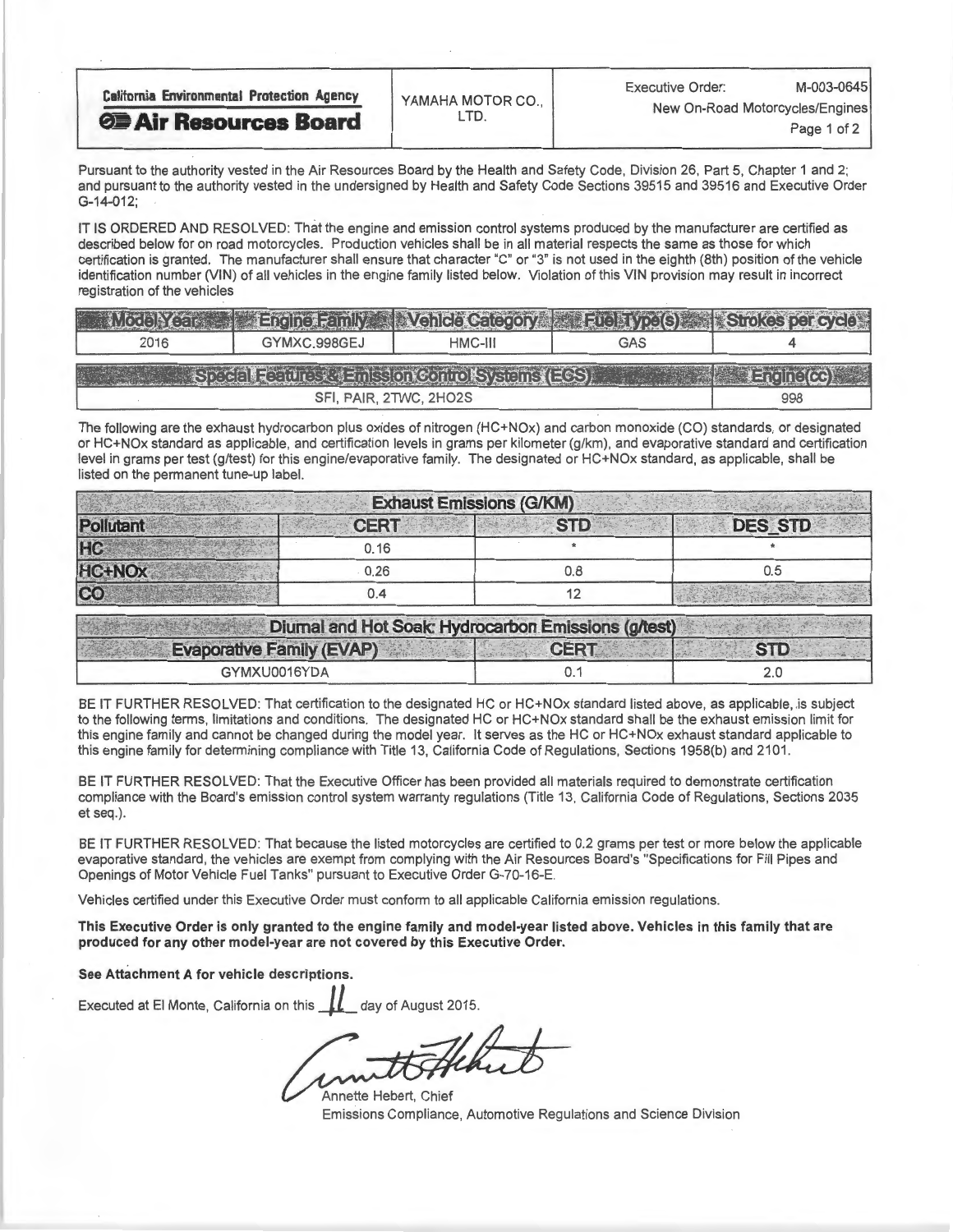| <b>California Environmental Protection Agency</b> | YAMAHA MOTOR CO., | M-003-0645<br><b>Executive Order:</b><br>New On-Road Motorcycles/Engines<br>Page 1 of 2. |  |  |
|---------------------------------------------------|-------------------|------------------------------------------------------------------------------------------|--|--|
| <b>OF Air Resources Board</b>                     |                   |                                                                                          |  |  |

Pursuant to the authority vested in the Air Resources Board by the Health and Safety Code, Division 20545 and 20546 and Division O and pursuant to the authority vested in the undersigned by Health and Safety Code Sections 39515 and 39516 and Executive Order G-14-012;

IT IS ORDERED AND RESOLVED: That the engine and emission control systems produced by the manufacturer are certified as<br>described below for on road motorcycles. Production vehicles shall be in all material respects the same certification is granted. The manufacturer shall ensure that character "C" or "3" is not used in the eighth (8th) position of the vehicle certification is granted. The manufacturer shall ensure that character "C" or "3" is not used in the eighth (8th) position of the vehicle identification number (VIN) of all vehicles in the engine family listed below. Violation of this VIN provision may result in incorrect registration of the vehicles

|                                                                                                                       | <b>Ending Family</b> |         | <b>Nehicle Category Fuelz (yoels) Strokes per cycle</b> |  |  |  |
|-----------------------------------------------------------------------------------------------------------------------|----------------------|---------|---------------------------------------------------------|--|--|--|
| 2016                                                                                                                  | GYMXC.998GEJ         | HMC-III | GAS                                                     |  |  |  |
| SE CELEBRO (ULES CRIMES ON CONTO STREET STREET<br>$\left( \pm \frac{1}{2} \right)$ , $\left( \pm \frac{1}{2} \right)$ |                      |         |                                                         |  |  |  |
|                                                                                                                       | 998                  |         |                                                         |  |  |  |

The following are the exhaust hydrocarbon plus oxides of nitrogen (HC+NOx) and carbon monoxide (CO) standards, or designated or HC+NOx standard as applicable, and certification levels in grams per kilometer (g/km), and evaporative standard and certification level in grams per test (g/test) for this engine/evaporative family. The designated or HC+NOx standard, as applicable, shall be listed on the permanent tune-up label.

|                    |             | <b>Exhaust Emissions (G/KM)</b> |                |
|--------------------|-------------|---------------------------------|----------------|
| Pollutant          | <b>CERT</b> | <b>STD</b>                      | <b>DES STD</b> |
| HC                 | 0.16        |                                 |                |
| HC+NO <sub>x</sub> | 0.26        | 0.8                             | 0.5            |
| CO                 | 0.4         |                                 |                |

| Diumal and Hot Soak: Hydrocarbon Emissions (g/test) |             |            |
|-----------------------------------------------------|-------------|------------|
| <b>Evaporative Family (EVAP)</b>                    | <b>CERT</b> | <b>STD</b> |
| GYMXU0016YDA                                        |             |            |

BE IT FURTHER RESOLVED: That certification to the designated HC or HC+NOx standard listed above, as applicable, is subject to the following terms, limitations and conditions. The designated HC or HC+NOx standard shall be the exhaust emission limit for this engine family and cannot be changed during the model year. It serves as the HC or HC+NOx exhaust standard applicable to this engine family for determining compliance with Title 13, California Code of Regulations, Sections 1958(b) and 2101.

BE IT FURTHER RESOLVED: That the Executive Officer has been provided all materials required to demonstrate certification compliance with the Board's emission control system warranty regulations (Title 13, California Code of Regulations, Sections 2035 et seq.).

BE IT FURTHER RESOLVED: That because the listed motorcycles are certified to 0.2 grams per test or more below the applicable evaporative standard, the vehicles are exempt from complying with the Air Resources Board's "Specifications for Fill Pipes and Openings of Motor Vehicle Fuel Tanks" pursuant to Executive Order G-70-16-E.

Vehicles certified under this Executive Order must conform to all applicable California emission regulations.

This Executive Order is only granted to the engine family and model-year listed above. Vehicles in this family that are produced for any other model-year are not covered by this Executive Order.

See Attachment A for vehicle descriptions.

Executed at El Monte, California on this  $\mu$  day of August 2015.

Annette Hebert, Chief Emissions Compliance, Automotive Regulations and Science Division